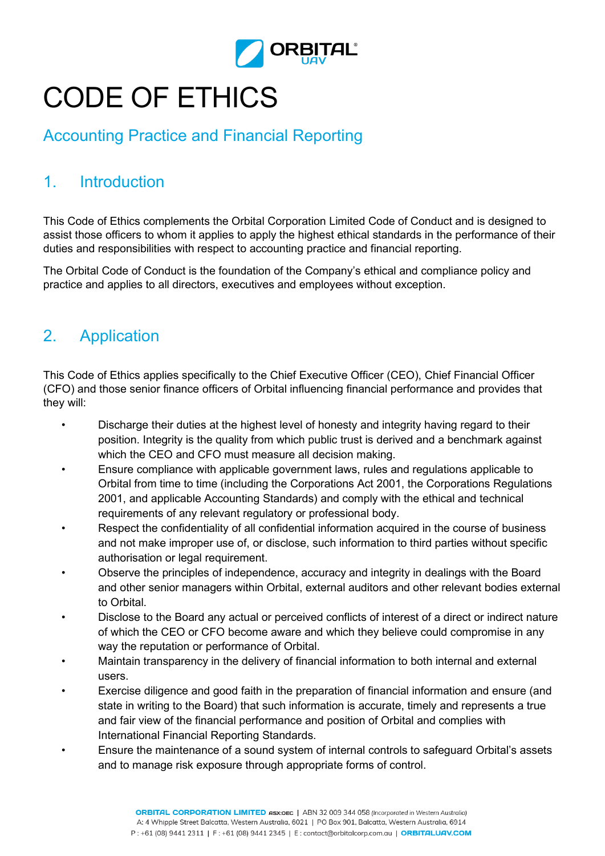

## CODE OF ETHICS

## Accounting Practice and Financial Reporting

## 1. Introduction

This Code of Ethics complements the Orbital Corporation Limited Code of Conduct and is designed to assist those officers to whom it applies to apply the highest ethical standards in the performance of their duties and responsibilities with respect to accounting practice and financial reporting.

The Orbital Code of Conduct is the foundation of the Company's ethical and compliance policy and practice and applies to all directors, executives and employees without exception.

## 2. Application

This Code of Ethics applies specifically to the Chief Executive Officer (CEO), Chief Financial Officer (CFO) and those senior finance officers of Orbital influencing financial performance and provides that they will:

- Discharge their duties at the highest level of honesty and integrity having regard to their position. Integrity is the quality from which public trust is derived and a benchmark against which the CEO and CFO must measure all decision making.
- Ensure compliance with applicable government laws, rules and regulations applicable to Orbital from time to time (including the Corporations Act 2001, the Corporations Regulations 2001, and applicable Accounting Standards) and comply with the ethical and technical requirements of any relevant regulatory or professional body.
- Respect the confidentiality of all confidential information acquired in the course of business and not make improper use of, or disclose, such information to third parties without specific authorisation or legal requirement.
- Observe the principles of independence, accuracy and integrity in dealings with the Board and other senior managers within Orbital, external auditors and other relevant bodies external to Orbital.
- Disclose to the Board any actual or perceived conflicts of interest of a direct or indirect nature of which the CEO or CFO become aware and which they believe could compromise in any way the reputation or performance of Orbital.
- Maintain transparency in the delivery of financial information to both internal and external users.
- Exercise diligence and good faith in the preparation of financial information and ensure (and state in writing to the Board) that such information is accurate, timely and represents a true and fair view of the financial performance and position of Orbital and complies with International Financial Reporting Standards.
- Ensure the maintenance of a sound system of internal controls to safeguard Orbital's assets and to manage risk exposure through appropriate forms of control.